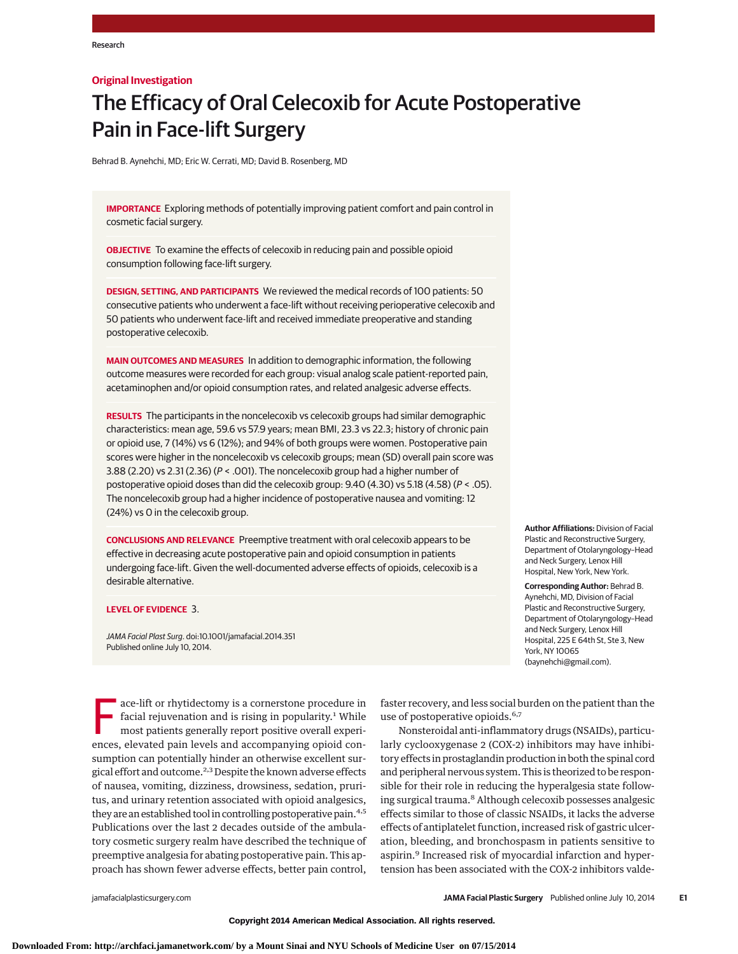### **Original Investigation**

# The Efficacy of Oral Celecoxib for Acute Postoperative Pain in Face-lift Surgery

Behrad B. Aynehchi, MD; Eric W. Cerrati, MD; David B. Rosenberg, MD

**IMPORTANCE** Exploring methods of potentially improving patient comfort and pain control in cosmetic facial surgery.

**OBJECTIVE** To examine the effects of celecoxib in reducing pain and possible opioid consumption following face-lift surgery.

**DESIGN, SETTING, AND PARTICIPANTS** We reviewed the medical records of 100 patients: 50 consecutive patients who underwent a face-lift without receiving perioperative celecoxib and 50 patients who underwent face-lift and received immediate preoperative and standing postoperative celecoxib.

**MAIN OUTCOMES AND MEASURES** In addition to demographic information, the following outcome measures were recorded for each group: visual analog scale patient-reported pain, acetaminophen and/or opioid consumption rates, and related analgesic adverse effects.

**RESULTS** The participants in the noncelecoxib vs celecoxib groups had similar demographic characteristics: mean age, 59.6 vs 57.9 years; mean BMI, 23.3 vs 22.3; history of chronic pain or opioid use, 7 (14%) vs 6 (12%); and 94% of both groups were women. Postoperative pain scores were higher in the noncelecoxib vs celecoxib groups; mean (SD) overall pain score was 3.88 (2.20) vs 2.31 (2.36) (P < .001). The noncelecoxib group had a higher number of postoperative opioid doses than did the celecoxib group:  $9.40$  ( $4.30$ ) vs  $5.18$  ( $4.58$ ) ( $P < .05$ ). The noncelecoxib group had a higher incidence of postoperative nausea and vomiting: 12 (24%) vs 0 in the celecoxib group.

**CONCLUSIONS AND RELEVANCE** Preemptive treatment with oral celecoxib appears to be effective in decreasing acute postoperative pain and opioid consumption in patients undergoing face-lift. Given the well-documented adverse effects of opioids, celecoxib is a desirable alternative.

#### **LEVEL OF EVIDENCE** 3.

JAMA Facial Plast Surg. doi:10.1001/jamafacial.2014.351 Published online July 10, 2014.

**Author Affiliations:** Division of Facial Plastic and Reconstructive Surgery, Department of Otolaryngology–Head and Neck Surgery, Lenox Hill Hospital, New York, New York.

**Corresponding Author:** Behrad B. Aynehchi, MD, Division of Facial Plastic and Reconstructive Surgery, Department of Otolaryngology–Head and Neck Surgery, Lenox Hill Hospital, 225 E 64th St, Ste 3, New York, NY 10065 (baynehchi@gmail.com).

ace-lift or rhytidectomy is a cornerstone procedure in<br>facial rejuvenation and is rising in popularity.<sup>1</sup> While<br>most patients generally report positive overall experi-<br>ances elevated pain levels and accompanying opioid co facial rejuvenation and is rising in popularity.<sup>1</sup> While most patients generally report positive overall experiences, elevated pain levels and accompanying opioid consumption can potentially hinder an otherwise excellent surgical effort and outcome.2,3 Despite the known adverse effects of nausea, vomiting, dizziness, drowsiness, sedation, pruritus, and urinary retention associated with opioid analgesics, they are an established tool in controlling postoperative pain.<sup>4,5</sup> Publications over the last 2 decades outside of the ambulatory cosmetic surgery realm have described the technique of preemptive analgesia for abating postoperative pain. This approach has shown fewer adverse effects, better pain control,

faster recovery, and less social burden on the patient than the use of postoperative opioids.<sup>6,7</sup>

Nonsteroidal anti-inflammatory drugs (NSAIDs), particularly cyclooxygenase 2 (COX-2) inhibitors may have inhibitory effects in prostaglandin production in both the spinal cord and peripheral nervous system. This is theorized to be responsible for their role in reducing the hyperalgesia state following surgical trauma.<sup>8</sup> Although celecoxib possesses analgesic effects similar to those of classic NSAIDs, it lacks the adverse effects of antiplatelet function, increased risk of gastric ulceration, bleeding, and bronchospasm in patients sensitive to aspirin.<sup>9</sup> Increased risk of myocardial infarction and hypertension has been associated with the COX-2 inhibitors valde-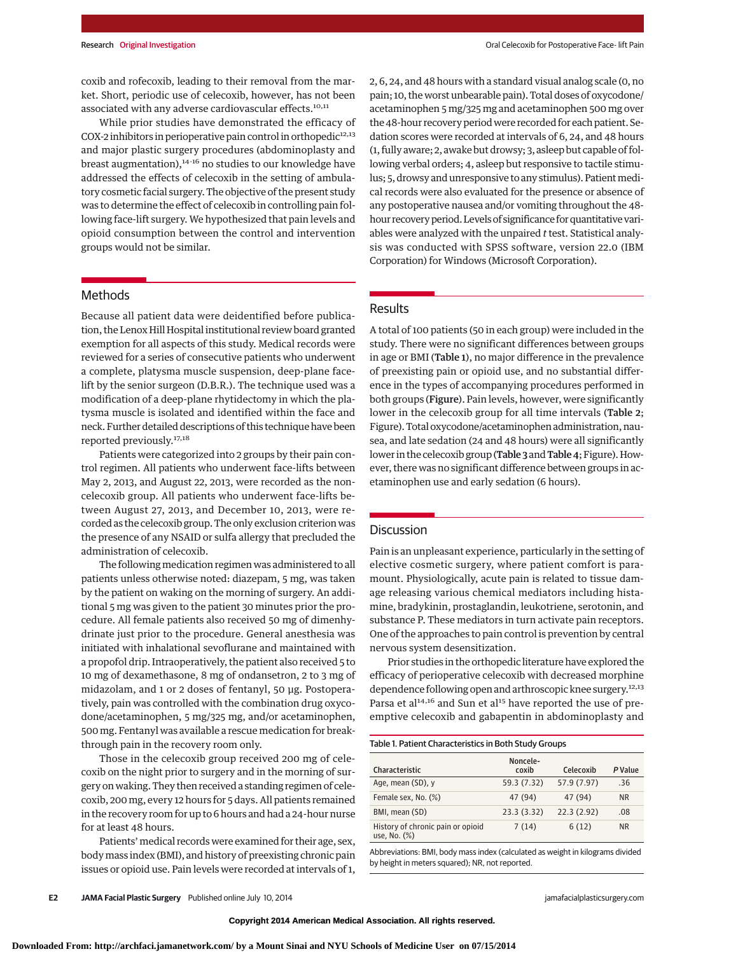coxib and rofecoxib, leading to their removal from the market. Short, periodic use of celecoxib, however, has not been associated with any adverse cardiovascular effects.<sup>10,11</sup>

While prior studies have demonstrated the efficacy of COX-2 inhibitors in perioperative pain control in orthopedic $12,13$ and major plastic surgery procedures (abdominoplasty and breast augmentation),<sup>14-16</sup> no studies to our knowledge have addressed the effects of celecoxib in the setting of ambulatory cosmetic facial surgery. The objective of the present study was to determine the effect of celecoxib in controlling pain following face-lift surgery. We hypothesized that pain levels and opioid consumption between the control and intervention groups would not be similar.

2, 6, 24, and 48 hours with a standard visual analog scale (0, no pain; 10, the worst unbearable pain). Total doses of oxycodone/ acetaminophen 5 mg/325 mg and acetaminophen 500 mg over the 48-hour recovery period were recorded for each patient. Sedation scores were recorded at intervals of 6, 24, and 48 hours (1, fully aware; 2, awake but drowsy; 3, asleep but capable of following verbal orders; 4, asleep but responsive to tactile stimulus; 5, drowsy and unresponsive to any stimulus). Patient medical records were also evaluated for the presence or absence of any postoperative nausea and/or vomiting throughout the 48 hour recovery period. Levels of significance for quantitative variables were analyzed with the unpaired *t* test. Statistical analysis was conducted with SPSS software, version 22.0 (IBM Corporation) for Windows (Microsoft Corporation).

# Methods

Because all patient data were deidentified before publication, the Lenox Hill Hospital institutional review board granted exemption for all aspects of this study. Medical records were reviewed for a series of consecutive patients who underwent a complete, platysma muscle suspension, deep-plane facelift by the senior surgeon (D.B.R.). The technique used was a modification of a deep-plane rhytidectomy in which the platysma muscle is isolated and identified within the face and neck. Further detailed descriptions of this technique have been reported previously.17,18

Patients were categorized into 2 groups by their pain control regimen. All patients who underwent face-lifts between May 2, 2013, and August 22, 2013, were recorded as the noncelecoxib group. All patients who underwent face-lifts between August 27, 2013, and December 10, 2013, were recorded as the celecoxib group. The only exclusion criterion was the presence of any NSAID or sulfa allergy that precluded the administration of celecoxib.

The following medication regimen was administered to all patients unless otherwise noted: diazepam, 5 mg, was taken by the patient on waking on the morning of surgery. An additional 5 mg was given to the patient 30 minutes prior the procedure. All female patients also received 50 mg of dimenhydrinate just prior to the procedure. General anesthesia was initiated with inhalational sevoflurane and maintained with a propofol drip. Intraoperatively, the patient also received 5 to 10 mg of dexamethasone, 8 mg of ondansetron, 2 to 3 mg of midazolam, and 1 or 2 doses of fentanyl, 50 μg. Postoperatively, pain was controlled with the combination drug oxycodone/acetaminophen, 5 mg/325 mg, and/or acetaminophen, 500 mg. Fentanyl was available a rescue medication for breakthrough pain in the recovery room only.

Those in the celecoxib group received 200 mg of celecoxib on the night prior to surgery and in the morning of surgery on waking. They then received a standing regimen of celecoxib, 200 mg, every 12 hours for 5 days. All patients remained in the recovery room for up to 6 hours and had a 24-hour nurse for at least 48 hours.

Patients'medical records were examined for their age, sex, bodymass index (BMI), and history of preexisting chronic pain issues or opioid use. Pain levels were recorded at intervals of 1,

# Results

A total of 100 patients (50 in each group) were included in the study. There were no significant differences between groups in age or BMI (Table 1), no major difference in the prevalence of preexisting pain or opioid use, and no substantial difference in the types of accompanying procedures performed in both groups (Figure). Pain levels, however, were significantly lower in the celecoxib group for all time intervals (Table 2; Figure). Total oxycodone/acetaminophen administration, nausea, and late sedation (24 and 48 hours) were all significantly lower in the celecoxib group (Table 3 and Table 4; Figure). However, there was no significant difference between groups in acetaminophen use and early sedation (6 hours).

# **Discussion**

Pain is an unpleasant experience, particularly in the setting of elective cosmetic surgery, where patient comfort is paramount. Physiologically, acute pain is related to tissue damage releasing various chemical mediators including histamine, bradykinin, prostaglandin, leukotriene, serotonin, and substance P. These mediators in turn activate pain receptors. One of the approaches to pain control is prevention by central nervous system desensitization.

Prior studies in the orthopedic literature have explored the efficacy of perioperative celecoxib with decreased morphine dependence following open and arthroscopic knee surgery.<sup>12,13</sup> Parsa et al<sup>14,16</sup> and Sun et al<sup>15</sup> have reported the use of preemptive celecoxib and gabapentin in abdominoplasty and

| Table 1. Patient Characteristics in Both Study Groups |                   |             |           |  |
|-------------------------------------------------------|-------------------|-------------|-----------|--|
| Characteristic                                        | Noncele-<br>coxib | Celecoxib   | P Value   |  |
| Age, mean (SD), y                                     | 59.3 (7.32)       | 57.9 (7.97) | .36       |  |
| Female sex, No. (%)                                   | 47 (94)           | 47 (94)     | <b>NR</b> |  |
| BMI, mean (SD)                                        | 23.3 (3.32)       | 22.3(2.92)  | .08       |  |
| History of chronic pain or opioid<br>use, No. (%)     | 7(14)             | 6(12)       | <b>NR</b> |  |

Abbreviations: BMI, body mass index (calculated as weight in kilograms divided by height in meters squared); NR, not reported.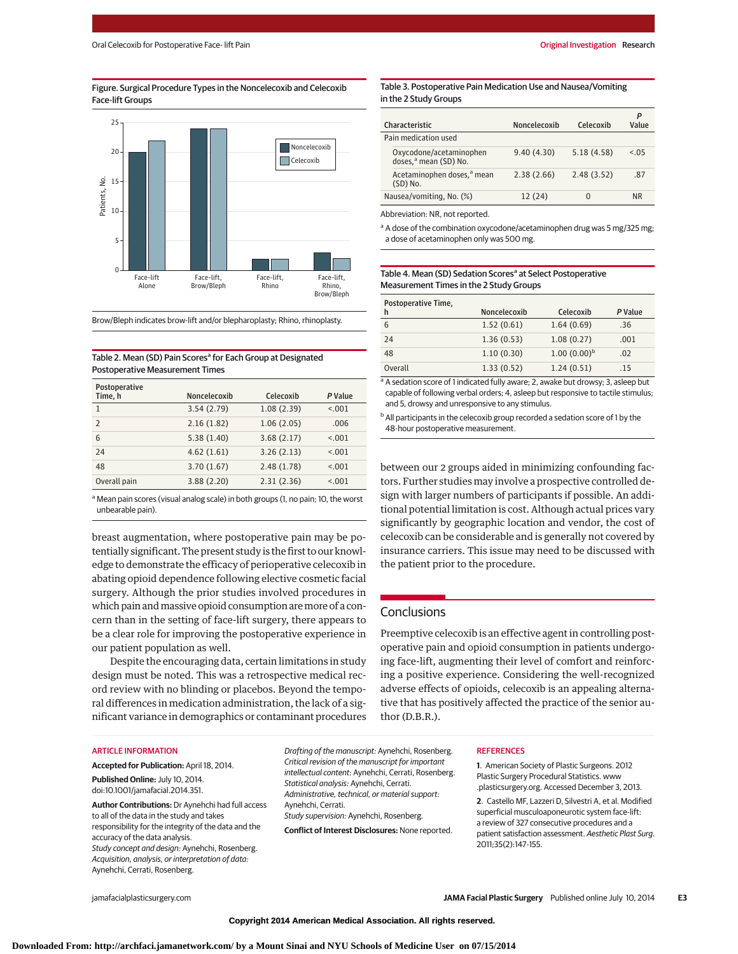#### Figure. Surgical Procedure Types in the Noncelecoxib and Celecoxib Face-lift Groups



Brow/Bleph indicates brow-lift and/or blepharoplasty; Rhino, rhinoplasty.

# Table 2. Mean (SD) Pain Scores<sup>a</sup> for Each Group at Designated Postoperative Measurement Times

| Postoperative<br>Time, h | Noncelecoxib | Celecoxib  | P Value |
|--------------------------|--------------|------------|---------|
| 1                        | 3.54(2.79)   | 1.08(2.39) | < 0.01  |
| $\mathcal{P}$            | 2.16(1.82)   | 1.06(2.05) | .006    |
| 6                        | 5.38(1.40)   | 3.68(2.17) | < 0.01  |
| 24                       | 4.62(1.61)   | 3.26(2.13) | < 0.01  |
| 48                       | 3.70(1.67)   | 2.48(1.78) | < 0.01  |
| Overall pain             | 3.88(2.20)   | 2.31(2.36) | < 0.01  |

<sup>a</sup> Mean pain scores (visual analog scale) in both groups (1, no pain; 10, the worst unbearable pain).

breast augmentation, where postoperative pain may be potentially significant. The present study is the first to our knowledge to demonstrate the efficacy of perioperative celecoxib in abating opioid dependence following elective cosmetic facial surgery. Although the prior studies involved procedures in which pain and massive opioid consumption are more of a concern than in the setting of face-lift surgery, there appears to be a clear role for improving the postoperative experience in our patient population as well.

Despite the encouraging data, certain limitations in study design must be noted. This was a retrospective medical record review with no blinding or placebos. Beyond the temporal differences in medication administration, the lack of a significant variance in demographics or contaminant procedures

#### Table 3. Postoperative Pain Medication Use and Nausea/Vomiting in the 2 Study Groups

| Characteristic                                               | Noncelecoxib | Celecoxib  | P<br>Value |
|--------------------------------------------------------------|--------------|------------|------------|
| Pain medication used                                         |              |            |            |
| Oxycodone/acetaminophen<br>doses, <sup>a</sup> mean (SD) No. | 9.40(4.30)   | 5.18(4.58) | < 0.5      |
| Acetaminophen doses, <sup>a</sup> mean<br>(SD) No.           | 2.38(2.66)   | 2.48(3.52) | .87        |
| Nausea/vomiting, No. (%)                                     | 12 (24)      | $\Omega$   | ΝR         |

Abbreviation: NR, not reported.

<sup>a</sup> A dose of the combination oxycodone/acetaminophen drug was 5 mg/325 mg; a dose of acetaminophen only was 500 mg.

| Table 4. Mean (SD) Sedation Scores <sup>a</sup> at Select Postoperative |
|-------------------------------------------------------------------------|
| Measurement Times in the 2 Study Groups                                 |

| Postoperative Time,<br>h | Noncelecoxib | Celecoxib        | P Value |
|--------------------------|--------------|------------------|---------|
| 6                        | 1.52(0.61)   | 1.64(0.69)       | .36     |
| 24                       | 1.36(0.53)   | 1.08(0.27)       | .001    |
| 48                       | 1.10(0.30)   | $1.00(0.00)^{b}$ | .02     |
| Overall                  | 1.33(0.52)   | 1.24(0.51)       | -15     |

<sup>a</sup> A sedation score of 1 indicated fully aware; 2, awake but drowsy; 3, asleep but capable of following verbal orders; 4, asleep but responsive to tactile stimulus; and 5, drowsy and unresponsive to any stimulus.

<sup>b</sup> All participants in the celecoxib group recorded a sedation score of 1 by the 48-hour postoperative measurement.

between our 2 groups aided in minimizing confounding factors. Further studies may involve a prospective controlled design with larger numbers of participants if possible. An additional potential limitation is cost. Although actual prices vary significantly by geographic location and vendor, the cost of celecoxib can be considerable and is generally not covered by insurance carriers. This issue may need to be discussed with the patient prior to the procedure.

# **Conclusions**

Preemptive celecoxib is an effective agent in controlling postoperative pain and opioid consumption in patients undergoing face-lift, augmenting their level of comfort and reinforcing a positive experience. Considering the well-recognized adverse effects of opioids, celecoxib is an appealing alternative that has positively affected the practice of the senior author (D.B.R.).

#### ARTICLE INFORMATION

**Accepted for Publication:** April 18, 2014.

**Published Online:** July 10, 2014. doi:10.1001/jamafacial.2014.351.

**Author Contributions:** Dr Aynehchi had full access to all of the data in the study and takes responsibility for the integrity of the data and the accuracy of the data analysis. Study concept and design: Aynehchi, Rosenberg. Acquisition, analysis, or interpretation of data: Aynehchi, Cerrati, Rosenberg.

Drafting of the manuscript: Aynehchi, Rosenberg. Critical revision of the manuscript for important intellectual content: Aynehchi, Cerrati, Rosenberg. Statistical analysis: Aynehchi, Cerrati. Administrative, technical, or material support: Aynehchi, Cerrati. Study supervision: Aynehchi, Rosenberg.

**Conflict of Interest Disclosures:** None reported.

#### **REFERENCES**

**1**. American Society of Plastic Surgeons. 2012 Plastic Surgery Procedural Statistics. www .plasticsurgery.org. Accessed December 3, 2013.

**2**. Castello MF, Lazzeri D, Silvestri A, et al. Modified superficial musculoaponeurotic system face-lift: a review of 327 consecutive procedures and a patient satisfaction assessment. Aesthetic Plast Surg. 2011;35(2):147-155.

jamafacialplasticsurgery.com **JAMA Facial Plastic Surgery** Published online July 10, 2014 **E3**